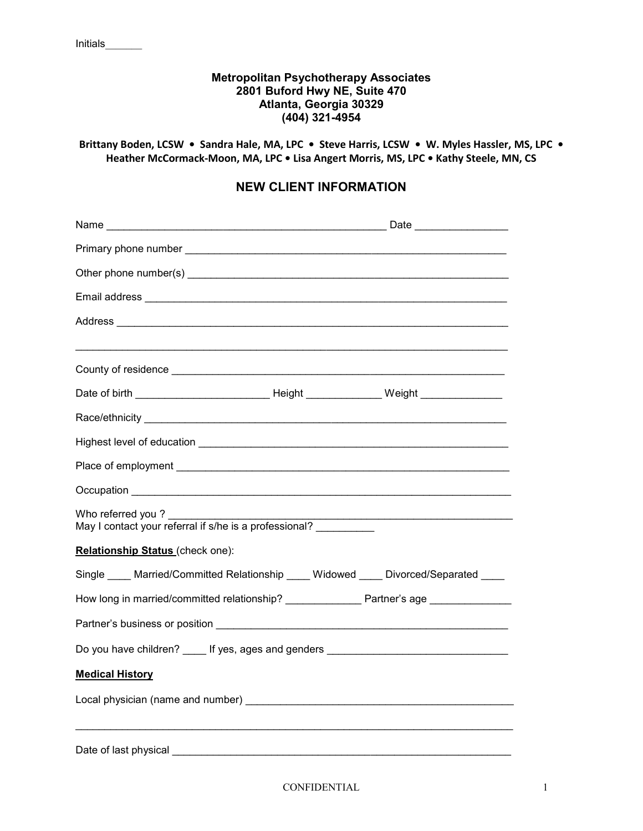## **Metropolitan Psychotherapy Associates 2801 Buford Hwy NE, Suite 470 Atlanta, Georgia 30329 (404) 321-4954**

**Brittany Boden, LCSW • Sandra Hale, MA, LPC • Steve Harris, LCSW • W. Myles Hassler, MS, LPC • Heather McCormack-Moon, MA, LPC • Lisa Angert Morris, MS, LPC • Kathy Steele, MN, CS** 

# **NEW CLIENT INFORMATION**

| Who referred you? _______                                                            |  |  |  |  |  |
|--------------------------------------------------------------------------------------|--|--|--|--|--|
| Relationship Status (check one):                                                     |  |  |  |  |  |
| Single ____ Married/Committed Relationship ____ Widowed ____ Divorced/Separated ____ |  |  |  |  |  |
| How long in married/committed relationship? Partner's age                            |  |  |  |  |  |
|                                                                                      |  |  |  |  |  |
| Do you have children? _____ If yes, ages and genders ___________________________     |  |  |  |  |  |
| <b>Medical History</b>                                                               |  |  |  |  |  |
|                                                                                      |  |  |  |  |  |
| Date of last physical                                                                |  |  |  |  |  |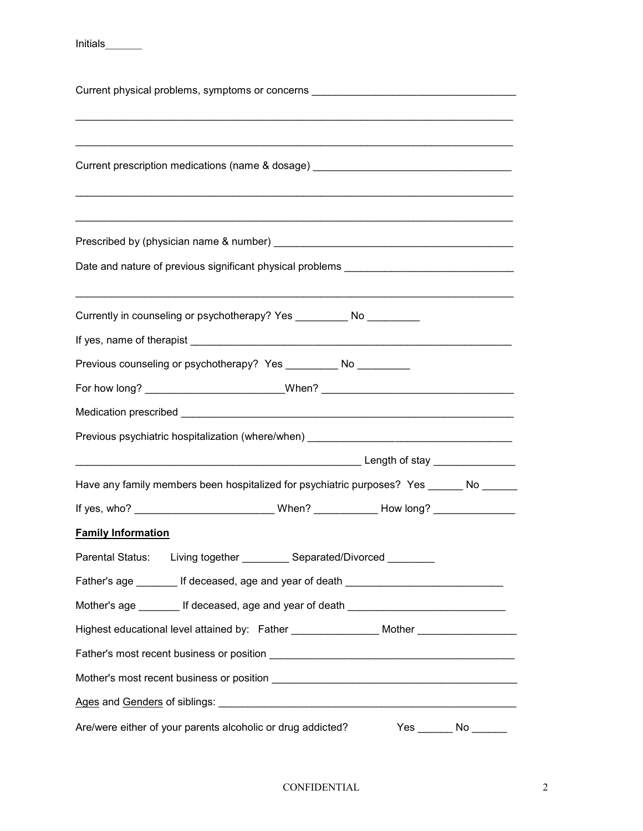Initials\_\_\_\_\_\_\_

| Current physical problems, symptoms or concerns ________________________________                     |
|------------------------------------------------------------------------------------------------------|
| Current prescription medications (name & dosage) _______________________________                     |
|                                                                                                      |
| Currently in counseling or psychotherapy? Yes __________ No __________                               |
| Previous counseling or psychotherapy? Yes _________ No _________                                     |
| For how long? ________________________________When? ____________________________                     |
|                                                                                                      |
| Previous psychiatric hospitalization (where/when) _______________________________                    |
|                                                                                                      |
| Have any family members been hospitalized for psychiatric purposes? Yes ______ No _____              |
| If yes, who? ________________________________When? ______________How long? ________________          |
|                                                                                                      |
| <b>Family Information</b><br>Parental Status: Living together __________ Separated/Divorced ________ |
|                                                                                                      |
| Father's age ________ If deceased, age and year of death _______________________                     |
| Mother's age ________ If deceased, age and year of death ________________________                    |
| Highest educational level attained by: Father ________________ Mother __________________             |
|                                                                                                      |
|                                                                                                      |
|                                                                                                      |
| Are/were either of your parents alcoholic or drug addicted?<br>Yes _______ No _______                |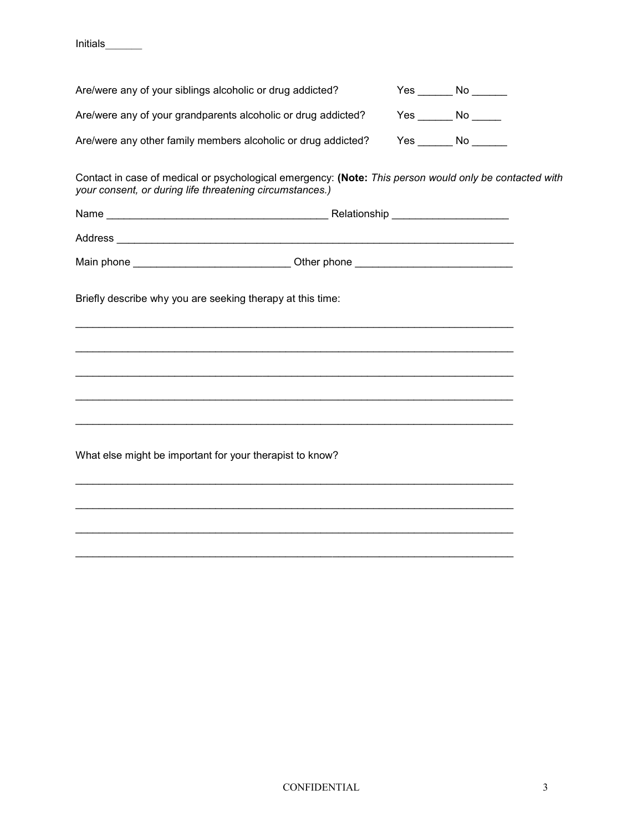Initials\_\_\_\_\_\_\_

| Are/were any of your siblings alcoholic or drug addicted?     | Yes  | No. |
|---------------------------------------------------------------|------|-----|
| Are/were any of your grandparents alcoholic or drug addicted? | Yes. | No. |
| Are/were any other family members alcoholic or drug addicted? | Yes. | No. |

Contact in case of medical or psychological emergency: **(Note:** *This person would only be contacted with your consent, or during life threatening circumstances.)*

| Name       | Relationship |
|------------|--------------|
| Address    |              |
| Main phone | Other phone  |

 $\mathcal{L}_\text{max}$  and  $\mathcal{L}_\text{max}$  and  $\mathcal{L}_\text{max}$  and  $\mathcal{L}_\text{max}$  and  $\mathcal{L}_\text{max}$  and  $\mathcal{L}_\text{max}$ 

\_\_\_\_\_\_\_\_\_\_\_\_\_\_\_\_\_\_\_\_\_\_\_\_\_\_\_\_\_\_\_\_\_\_\_\_\_\_\_\_\_\_\_\_\_\_\_\_\_\_\_\_\_\_\_\_\_\_\_\_\_\_\_\_\_\_\_\_\_\_\_\_\_\_\_

 $\mathcal{L}_\text{max}$  and  $\mathcal{L}_\text{max}$  and  $\mathcal{L}_\text{max}$  and  $\mathcal{L}_\text{max}$  and  $\mathcal{L}_\text{max}$  and  $\mathcal{L}_\text{max}$ 

\_\_\_\_\_\_\_\_\_\_\_\_\_\_\_\_\_\_\_\_\_\_\_\_\_\_\_\_\_\_\_\_\_\_\_\_\_\_\_\_\_\_\_\_\_\_\_\_\_\_\_\_\_\_\_\_\_\_\_\_\_\_\_\_\_\_\_\_\_\_\_\_\_\_\_

\_\_\_\_\_\_\_\_\_\_\_\_\_\_\_\_\_\_\_\_\_\_\_\_\_\_\_\_\_\_\_\_\_\_\_\_\_\_\_\_\_\_\_\_\_\_\_\_\_\_\_\_\_\_\_\_\_\_\_\_\_\_\_\_\_\_\_\_\_\_\_\_\_\_\_

Briefly describe why you are seeking therapy at this time:

What else might be important for your therapist to know?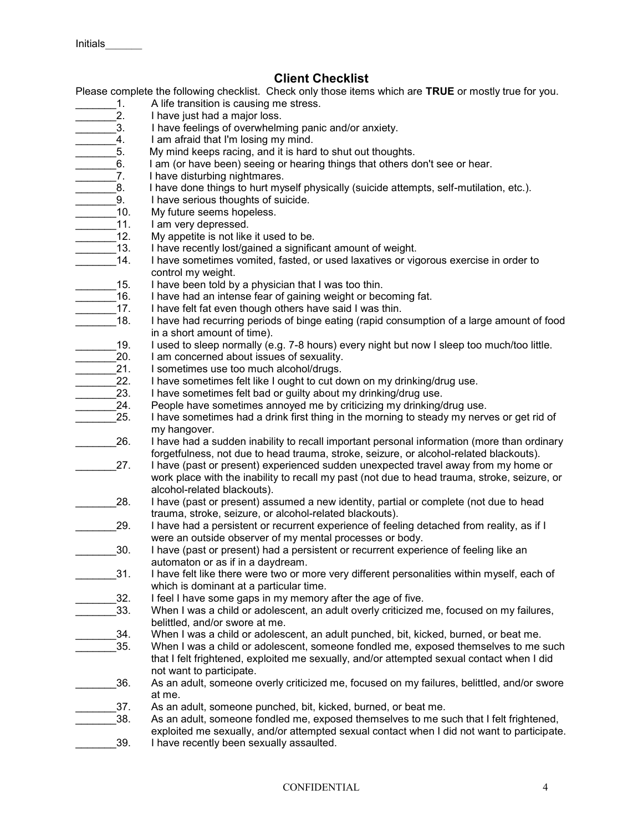# **Client Checklist**

Please complete the following checklist. Check only those items which are **TRUE** or mostly true for you.

- 1. A life transition is causing me stress.<br>2. A lave just had a major loss.
- I have just had a major loss.
- 3. I have feelings of overwhelming panic and/or anxiety.
- 4. I am afraid that I'm losing my mind.<br>5. My mind keeps racing, and it is hard
	- My mind keeps racing, and it is hard to shut out thoughts.
	- \_\_\_\_\_\_\_6. I am (or have been) seeing or hearing things that others don't see or hear.
- 7. I have disturbing nightmares.
	- 8. I have done things to hurt myself physically (suicide attempts, self-mutilation, etc.).
	- 9. I have serious thoughts of suicide.
- 10. My future seems hopeless.
- 11. I am very depressed.
- 12. My appetite is not like it used to be.
- 13. I have recently lost/gained a significant amount of weight.
- 14. I have sometimes vomited, fasted, or used laxatives or vigorous exercise in order to control my weight.
- 15. I have been told by a physician that I was too thin.
- 16. I have had an intense fear of gaining weight or becoming fat.
- 17. I have felt fat even though others have said I was thin.
- 18. I have had recurring periods of binge eating (rapid consumption of a large amount of food in a short amount of time).
	- \_\_\_\_\_\_\_19. I used to sleep normally (e.g. 7-8 hours) every night but now I sleep too much/too little.
- 20. I am concerned about issues of sexuality.
- 21. I sometimes use too much alcohol/drugs.<br>22. I have sometimes felt like I ought to cut do
- $22.$  I have sometimes felt like I ought to cut down on my drinking/drug use.<br>23. I have sometimes felt bad or quilty about my drinking/drug use.
- I have sometimes felt bad or guilty about my drinking/drug use.
- 24. People have sometimes annoyed me by criticizing my drinking/drug use.
- 25. I have sometimes had a drink first thing in the morning to steady my nerves or get rid of my hangover.
- 26. I have had a sudden inability to recall important personal information (more than ordinary forgetfulness, not due to head trauma, stroke, seizure, or alcohol-related blackouts).
- 27. I have (past or present) experienced sudden unexpected travel away from my home or work place with the inability to recall my past (not due to head trauma, stroke, seizure, or alcohol-related blackouts).
- 28. I have (past or present) assumed a new identity, partial or complete (not due to head trauma, stroke, seizure, or alcohol-related blackouts).
- 29. I have had a persistent or recurrent experience of feeling detached from reality, as if I were an outside observer of my mental processes or body.
- 30. I have (past or present) had a persistent or recurrent experience of feeling like an automaton or as if in a daydream.
- 31. I have felt like there were two or more very different personalities within myself, each of which is dominant at a particular time.
	- \_\_\_\_\_\_\_32. I feel I have some gaps in my memory after the age of five.
- When I was a child or adolescent, an adult overly criticized me, focused on my failures, belittled, and/or swore at me.
- 34. When I was a child or adolescent, an adult punched, bit, kicked, burned, or beat me. 35. When I was a child or adolescent, someone fondled me, exposed themselves to me such
	- that I felt frightened, exploited me sexually, and/or attempted sexual contact when I did not want to participate.
- \_\_\_\_\_\_\_36. As an adult, someone overly criticized me, focused on my failures, belittled, and/or swore at me.
- 37. As an adult, someone punched, bit, kicked, burned, or beat me.
- 38. As an adult, someone fondled me, exposed themselves to me such that I felt frightened, exploited me sexually, and/or attempted sexual contact when I did not want to participate. 39. I have recently been sexually assaulted.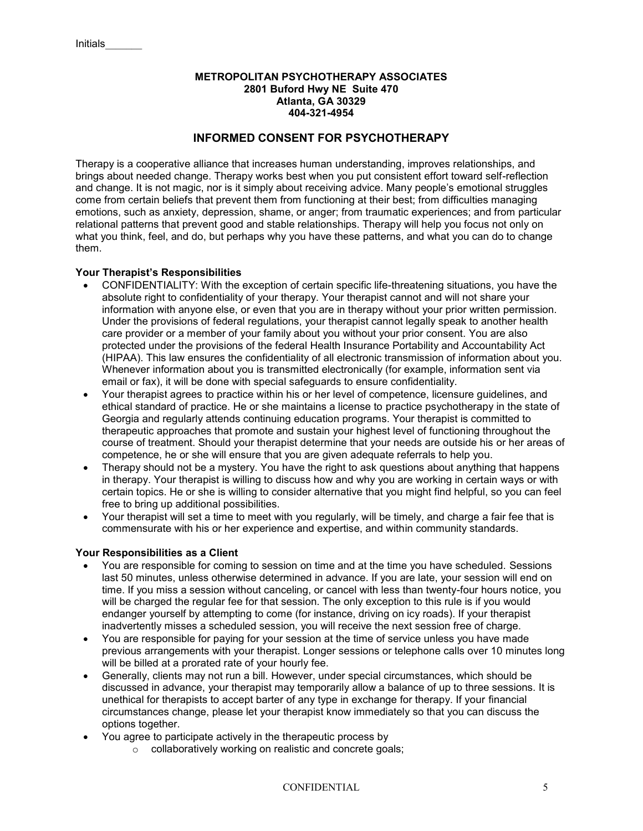### **METROPOLITAN PSYCHOTHERAPY ASSOCIATES 2801 Buford Hwy NE Suite 470 Atlanta, GA 30329 404-321-4954**

## **INFORMED CONSENT FOR PSYCHOTHERAPY**

Therapy is a cooperative alliance that increases human understanding, improves relationships, and brings about needed change. Therapy works best when you put consistent effort toward self-reflection and change. It is not magic, nor is it simply about receiving advice. Many people's emotional struggles come from certain beliefs that prevent them from functioning at their best; from difficulties managing emotions, such as anxiety, depression, shame, or anger; from traumatic experiences; and from particular relational patterns that prevent good and stable relationships. Therapy will help you focus not only on what you think, feel, and do, but perhaps why you have these patterns, and what you can do to change them.

### **Your Therapist's Responsibilities**

- CONFIDENTIALITY: With the exception of certain specific life-threatening situations, you have the absolute right to confidentiality of your therapy. Your therapist cannot and will not share your information with anyone else, or even that you are in therapy without your prior written permission. Under the provisions of federal regulations, your therapist cannot legally speak to another health care provider or a member of your family about you without your prior consent. You are also protected under the provisions of the federal Health Insurance Portability and Accountability Act (HIPAA). This law ensures the confidentiality of all electronic transmission of information about you. Whenever information about you is transmitted electronically (for example, information sent via email or fax), it will be done with special safeguards to ensure confidentiality.
- Your therapist agrees to practice within his or her level of competence, licensure guidelines, and ethical standard of practice. He or she maintains a license to practice psychotherapy in the state of Georgia and regularly attends continuing education programs. Your therapist is committed to therapeutic approaches that promote and sustain your highest level of functioning throughout the course of treatment. Should your therapist determine that your needs are outside his or her areas of competence, he or she will ensure that you are given adequate referrals to help you.
- Therapy should not be a mystery. You have the right to ask questions about anything that happens in therapy. Your therapist is willing to discuss how and why you are working in certain ways or with certain topics. He or she is willing to consider alternative that you might find helpful, so you can feel free to bring up additional possibilities.
- Your therapist will set a time to meet with you regularly, will be timely, and charge a fair fee that is commensurate with his or her experience and expertise, and within community standards.

#### **Your Responsibilities as a Client**

- You are responsible for coming to session on time and at the time you have scheduled. Sessions last 50 minutes, unless otherwise determined in advance. If you are late, your session will end on time. If you miss a session without canceling, or cancel with less than twenty-four hours notice, you will be charged the regular fee for that session. The only exception to this rule is if you would endanger yourself by attempting to come (for instance, driving on icy roads). If your therapist inadvertently misses a scheduled session, you will receive the next session free of charge.
- You are responsible for paying for your session at the time of service unless you have made previous arrangements with your therapist. Longer sessions or telephone calls over 10 minutes long will be billed at a prorated rate of your hourly fee.
- Generally, clients may not run a bill. However, under special circumstances, which should be discussed in advance, your therapist may temporarily allow a balance of up to three sessions. It is unethical for therapists to accept barter of any type in exchange for therapy. If your financial circumstances change, please let your therapist know immediately so that you can discuss the options together.
- You agree to participate actively in the therapeutic process by
	- o collaboratively working on realistic and concrete goals;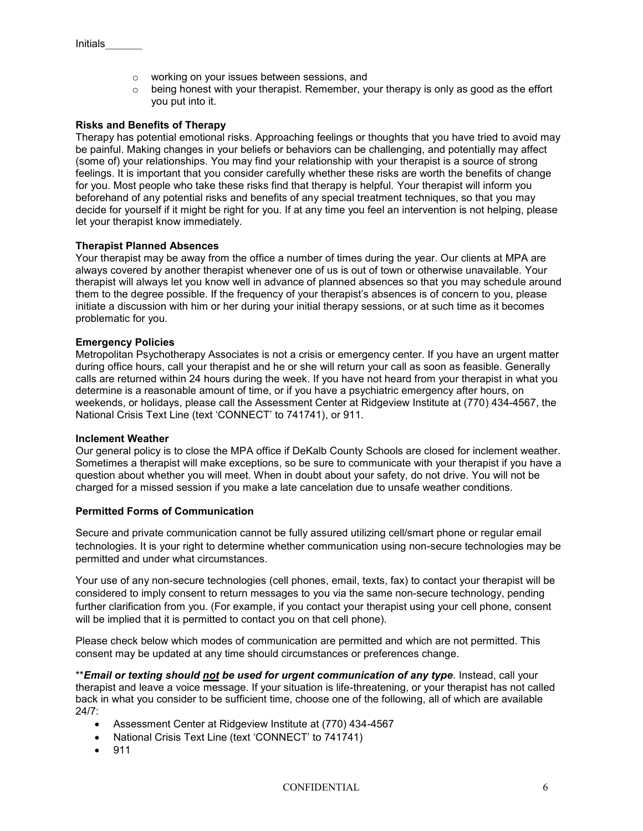- o working on your issues between sessions, and
- $\circ$  being honest with your therapist. Remember, your therapy is only as good as the effort you put into it.

#### **Risks and Benefits of Therapy**

Therapy has potential emotional risks. Approaching feelings or thoughts that you have tried to avoid may be painful. Making changes in your beliefs or behaviors can be challenging, and potentially may affect (some of) your relationships. You may find your relationship with your therapist is a source of strong feelings. It is important that you consider carefully whether these risks are worth the benefits of change for you. Most people who take these risks find that therapy is helpful. Your therapist will inform you beforehand of any potential risks and benefits of any special treatment techniques, so that you may decide for yourself if it might be right for you. If at any time you feel an intervention is not helping, please let your therapist know immediately.

#### **Therapist Planned Absences**

Your therapist may be away from the office a number of times during the year. Our clients at MPA are always covered by another therapist whenever one of us is out of town or otherwise unavailable. Your therapist will always let you know well in advance of planned absences so that you may schedule around them to the degree possible. If the frequency of your therapist's absences is of concern to you, please initiate a discussion with him or her during your initial therapy sessions, or at such time as it becomes problematic for you.

#### **Emergency Policies**

Metropolitan Psychotherapy Associates is not a crisis or emergency center. If you have an urgent matter during office hours, call your therapist and he or she will return your call as soon as feasible. Generally calls are returned within 24 hours during the week. If you have not heard from your therapist in what you determine is a reasonable amount of time, or if you have a psychiatric emergency after hours, on weekends, or holidays, please call the Assessment Center at Ridgeview Institute at (770) 434-4567, the National Crisis Text Line (text 'CONNECT' to 741741), or 911.

#### **Inclement Weather**

Our general policy is to close the MPA office if DeKalb County Schools are closed for inclement weather. Sometimes a therapist will make exceptions, so be sure to communicate with your therapist if you have a question about whether you will meet. When in doubt about your safety, do not drive. You will not be charged for a missed session if you make a late cancelation due to unsafe weather conditions.

#### **Permitted Forms of Communication**

Secure and private communication cannot be fully assured utilizing cell/smart phone or regular email technologies. It is your right to determine whether communication using non-secure technologies may be permitted and under what circumstances.

Your use of any non-secure technologies (cell phones, email, texts, fax) to contact your therapist will be considered to imply consent to return messages to you via the same non-secure technology, pending further clarification from you. (For example, if you contact your therapist using your cell phone, consent will be implied that it is permitted to contact you on that cell phone).

Please check below which modes of communication are permitted and which are not permitted. This consent may be updated at any time should circumstances or preferences change.

\*\**Email or texting should not be used for urgent communication of any type*. Instead, call your therapist and leave a voice message. If your situation is life-threatening, or your therapist has not called back in what you consider to be sufficient time, choose one of the following, all of which are available 24/7:

- Assessment Center at Ridgeview Institute at (770) 434-4567
- National Crisis Text Line (text 'CONNECT' to 741741)
- 911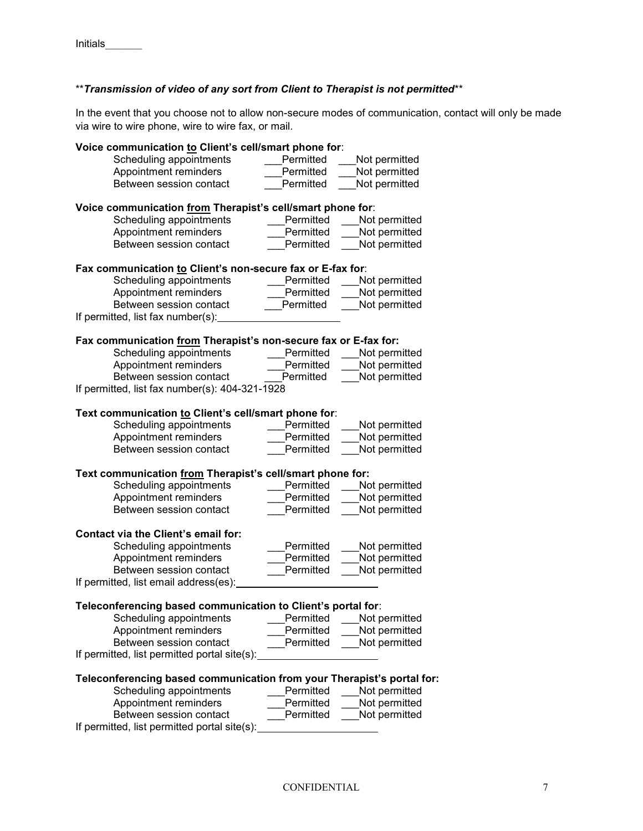# \*\**Transmission of video of any sort from Client to Therapist is not permitted*\*\*

In the event that you choose not to allow non-secure modes of communication, contact will only be made via wire to wire phone, wire to wire fax, or mail.

| Voice communication to Client's cell/smart phone for:                  |           |               |
|------------------------------------------------------------------------|-----------|---------------|
| Scheduling appointments                                                | Permitted | Not permitted |
| Appointment reminders                                                  | Permitted | Not permitted |
| Between session contact                                                | Permitted | Not permitted |
| Voice communication from Therapist's cell/smart phone for:             |           |               |
| Scheduling appointments                                                | Permitted | Not permitted |
| Appointment reminders                                                  | Permitted | Not permitted |
| Between session contact                                                | Permitted | Not permitted |
| Fax communication to Client's non-secure fax or E-fax for:             |           |               |
| Scheduling appointments                                                | Permitted | Not permitted |
| Appointment reminders                                                  | Permitted | Not permitted |
| Between session contact                                                | Permitted | Not permitted |
| If permitted, list fax number(s):                                      |           |               |
| Fax communication from Therapist's non-secure fax or E-fax for:        |           |               |
| Scheduling appointments                                                | Permitted | Not permitted |
| Appointment reminders                                                  | Permitted | Not permitted |
| Between session contact                                                | Permitted | Not permitted |
| If permitted, list fax number(s): 404-321-1928                         |           |               |
| Text communication to Client's cell/smart phone for:                   |           |               |
| Scheduling appointments                                                | Permitted | Not permitted |
| Appointment reminders                                                  | Permitted | Not permitted |
| Between session contact                                                | Permitted | Not permitted |
| Text communication from Therapist's cell/smart phone for:              |           |               |
| Scheduling appointments                                                | Permitted | Not permitted |
| Appointment reminders                                                  | Permitted | Not permitted |
| Between session contact                                                | Permitted | Not permitted |
| <b>Contact via the Client's email for:</b>                             |           |               |
| Scheduling appointments                                                | Permitted | Not permitted |
| Appointment reminders                                                  | Permitted | Not permitted |
| Between session contact                                                | Permitted | Not permitted |
| If permitted, list email address(es):                                  |           |               |
| Teleconferencing based communication to Client's portal for:           |           |               |
| Scheduling appointments                                                | Permitted | Not permitted |
| Appointment reminders                                                  | Permitted | Not permitted |
| Between session contact                                                | Permitted | Not permitted |
| If permitted, list permitted portal site(s):                           |           |               |
| Teleconferencing based communication from your Therapist's portal for: |           |               |
| Scheduling appointments                                                | Permitted | Not permitted |
| Appointment reminders                                                  | Permitted | Not permitted |
| Between session contact                                                | Permitted | Not permitted |
| If permitted, list permitted portal site(s):                           |           |               |